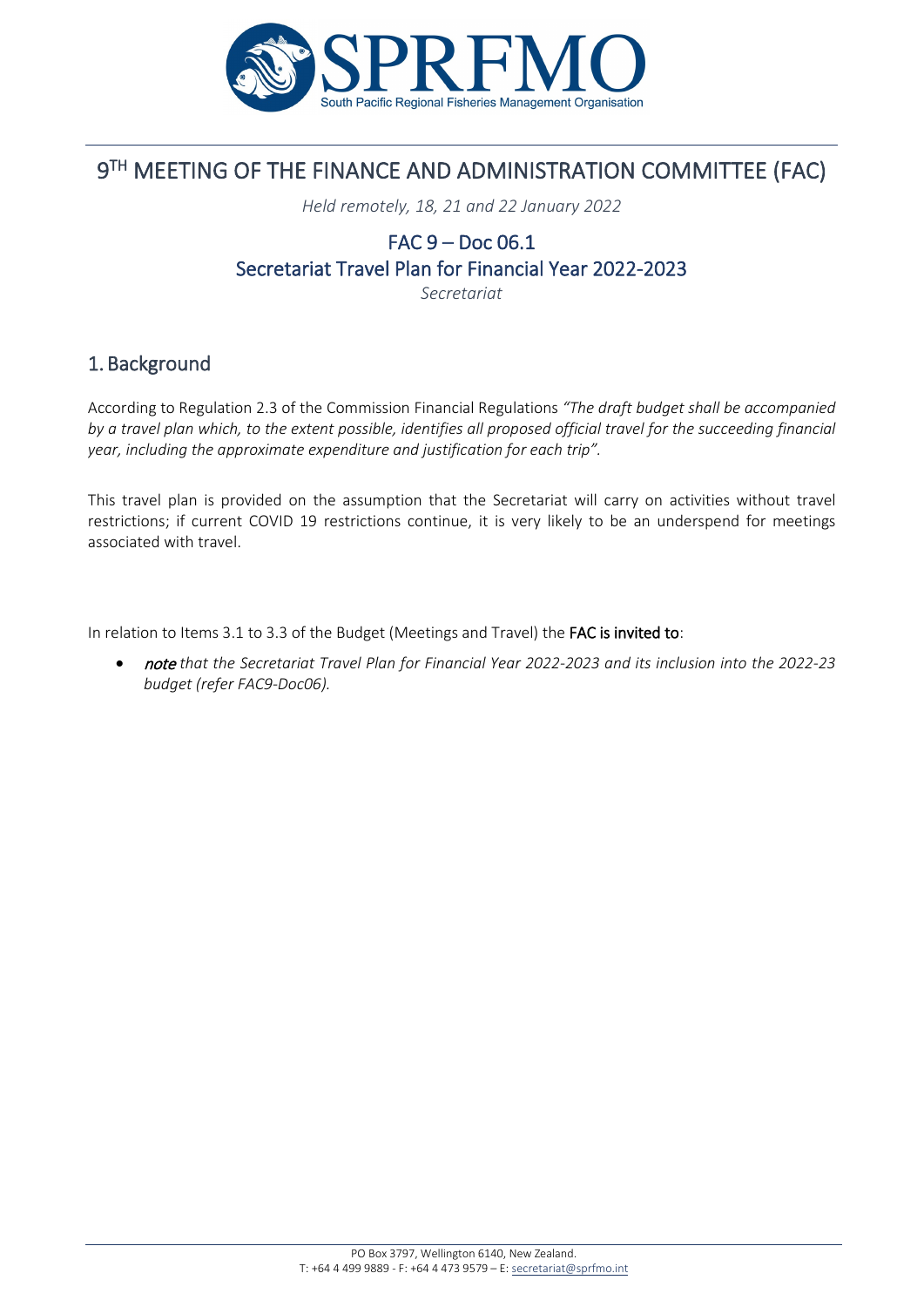

# 9TH MEETING OF THE FINANCE AND ADMINISTRATION COMMITTEE (FAC)

*Held remotely, 18, 21 and 22 January 2022*

## FAC 9 – Doc 06.1 Secretariat Travel Plan for Financial Year 2022-2023

*Secretariat*

### 1. Background

According to Regulation 2.3 of the Commission Financial Regulations *"The draft budget shall be accompanied by a travel plan which, to the extent possible, identifies all proposed official travel for the succeeding financial year, including the approximate expenditure and justification for each trip".*

This travel plan is provided on the assumption that the Secretariat will carry on activities without travel restrictions; if current COVID 19 restrictions continue, it is very likely to be an underspend for meetings associated with travel.

In relation to Items 3.1 to 3.3 of the Budget (Meetings and Travel) the FAC is invited to:

• note *that the Secretariat Travel Plan for Financial Year 2022-2023 and its inclusion into the 2022-23 budget (refer FAC9-Doc06).*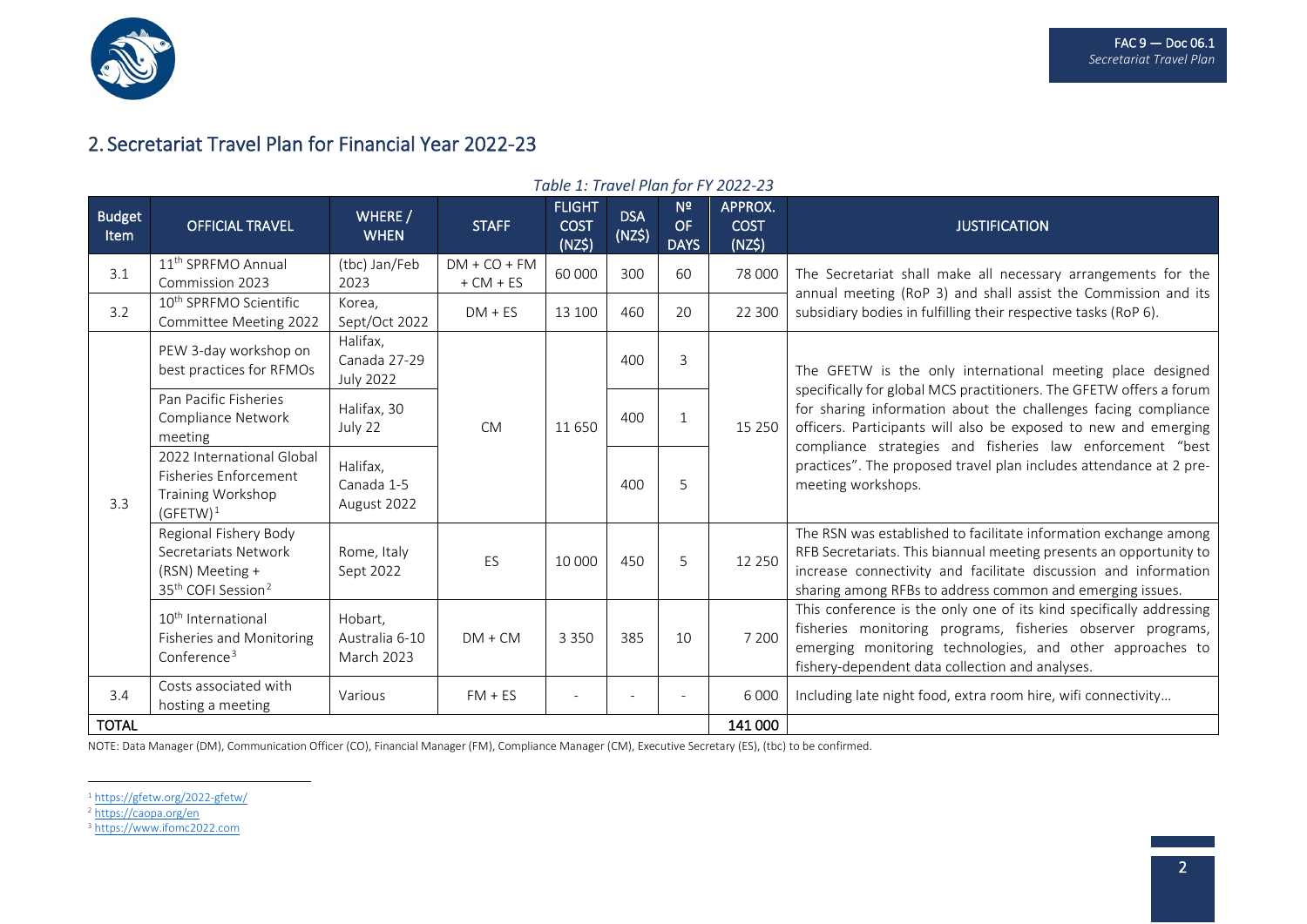

### 2. Secretariat Travel Plan for Financial Year 2022-23

| $1001C$ 1. THE PUT FIGHT FOLL FOLL 20 |                                                                                                                |                                                |                               |                                        |                      |                                     |                                  |                                                                                                                                                                                                                                                                        |  |  |  |
|---------------------------------------|----------------------------------------------------------------------------------------------------------------|------------------------------------------------|-------------------------------|----------------------------------------|----------------------|-------------------------------------|----------------------------------|------------------------------------------------------------------------------------------------------------------------------------------------------------------------------------------------------------------------------------------------------------------------|--|--|--|
| <b>Budget</b><br><b>Item</b>          | <b>OFFICIAL TRAVEL</b>                                                                                         | WHERE /<br><b>WHEN</b>                         | <b>STAFF</b>                  | <b>FLIGHT</b><br><b>COST</b><br>(NZ\$) | <b>DSA</b><br>(NZ\$) | N <sup>2</sup><br>OF<br><b>DAYS</b> | APPROX.<br><b>COST</b><br>(NZ\$) | <b>JUSTIFICATION</b>                                                                                                                                                                                                                                                   |  |  |  |
| 3.1                                   | 11 <sup>th</sup> SPRFMO Annual<br>Commission 2023                                                              | (tbc) Jan/Feb<br>2023                          | $DM + CO + FM$<br>$+ CM + ES$ | 60 000                                 | 300                  | 60                                  | 78 000                           | The Secretariat shall make all necessary arrangements for the<br>annual meeting (RoP 3) and shall assist the Commission and its<br>subsidiary bodies in fulfilling their respective tasks (RoP 6).                                                                     |  |  |  |
| 3.2                                   | 10 <sup>th</sup> SPRFMO Scientific<br>Committee Meeting 2022                                                   | Korea.<br>Sept/Oct 2022                        | $DM + ES$                     | 13 100                                 | 460                  | 20                                  | 22 300                           |                                                                                                                                                                                                                                                                        |  |  |  |
| 3.3                                   | PEW 3-day workshop on<br>best practices for RFMOs                                                              | Halifax,<br>Canada 27-29<br><b>July 2022</b>   | <b>CM</b>                     | 11650                                  | 400                  | 3                                   | 15 250                           | The GFETW is the only international meeting place designed                                                                                                                                                                                                             |  |  |  |
|                                       | Pan Pacific Fisheries<br>Compliance Network<br>meeting                                                         | Halifax, 30<br>July 22                         |                               |                                        | 400                  | $\mathbf{1}$                        |                                  | specifically for global MCS practitioners. The GFETW offers a forum<br>for sharing information about the challenges facing compliance<br>officers. Participants will also be exposed to new and emerging<br>compliance strategies and fisheries law enforcement "best  |  |  |  |
|                                       | 2022 International Global<br>Fisheries Enforcement<br>Training Workshop<br>$(GFETW)^1$                         | Halifax,<br>Canada 1-5<br>August 2022          |                               |                                        | 400                  | 5                                   |                                  | practices". The proposed travel plan includes attendance at 2 pre-<br>meeting workshops.                                                                                                                                                                               |  |  |  |
|                                       | Regional Fishery Body<br>Secretariats Network<br>(RSN) Meeting +<br>35 <sup>th</sup> COFI Session <sup>2</sup> | Rome, Italy<br>Sept 2022                       | ES                            | 10 000                                 | 450                  | 5                                   | 12 250                           | The RSN was established to facilitate information exchange among<br>RFB Secretariats. This biannual meeting presents an opportunity to<br>increase connectivity and facilitate discussion and information<br>sharing among RFBs to address common and emerging issues. |  |  |  |
|                                       | 10 <sup>th</sup> International<br><b>Fisheries and Monitoring</b><br>Conference $3$                            | Hobart,<br>Australia 6-10<br><b>March 2023</b> | $DM + CM$                     | 3 3 5 0                                | 385                  | 10                                  | 7 200                            | This conference is the only one of its kind specifically addressing<br>fisheries monitoring programs, fisheries observer programs,<br>emerging monitoring technologies, and other approaches to<br>fishery-dependent data collection and analyses.                     |  |  |  |
| 3.4                                   | Costs associated with<br>hosting a meeting                                                                     | Various                                        | $FM + ES$                     | $\overline{\phantom{a}}$               |                      |                                     | 6 0 0 0<br>141 000               | Including late night food, extra room hire, wifi connectivity                                                                                                                                                                                                          |  |  |  |
| <b>TOTAL</b>                          |                                                                                                                |                                                |                               |                                        |                      |                                     |                                  |                                                                                                                                                                                                                                                                        |  |  |  |

#### <span id="page-1-2"></span><span id="page-1-1"></span><span id="page-1-0"></span>*Table 1: Travel Plan for FY 2022-23*

NOTE: Data Manager (DM), Communication Officer (CO), Financial Manager (FM), Compliance Manager (CM), Executive Secretary (ES), (tbc) to be confirmed.

<sup>1</sup> <https://gfetw.org/2022-gfetw/>

<sup>&</sup>lt;sup>2</sup> [https://caopa.org/en](https://caopa.org/en/the-thirty-fifth-session-of-the-committee-on-fisheries-is-scheduled-to-be-held-in-rome-from-september-5-to-9-2022/13/02/2021/next-events/2926/)

<sup>3</sup> [https://www.ifomc2022.com](https://www.ifomc2022.com/)